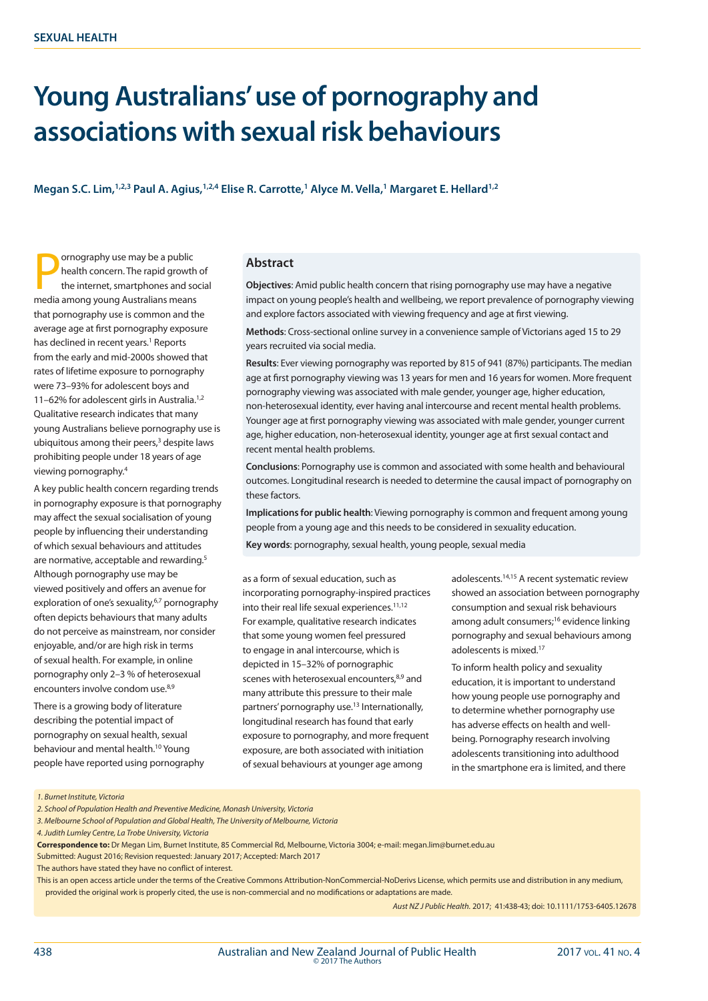# **Young Australians' use of pornography and associations with sexual risk behaviours**

**Megan S.C. Lim,1,2,3 Paul A. Agius,1,2,4 Elise R. Carrotte,1 Alyce M. Vella,1 Margaret E. Hellard1,2**

**Particulary** or mography use may be a public<br>health concern. The rapid growth<br>the internet, smartphones and so<br>media among young Australians means ornography use may be a public health concern. The rapid growth of the internet, smartphones and social that pornography use is common and the average age at first pornography exposure has declined in recent years.<sup>1</sup> Reports from the early and mid-2000s showed that rates of lifetime exposure to pornography were 73–93% for adolescent boys and 11-62% for adolescent girls in Australia.<sup>1,2</sup> Qualitative research indicates that many young Australians believe pornography use is ubiquitous among their peers,<sup>3</sup> despite laws prohibiting people under 18 years of age viewing pornography.4

A key public health concern regarding trends in pornography exposure is that pornography may affect the sexual socialisation of young people by influencing their understanding of which sexual behaviours and attitudes are normative, acceptable and rewarding.<sup>5</sup> Although pornography use may be viewed positively and offers an avenue for exploration of one's sexuality,<sup>6,7</sup> pornography often depicts behaviours that many adults do not perceive as mainstream, nor consider enjoyable, and/or are high risk in terms of sexual health. For example, in online pornography only 2–3 % of heterosexual encounters involve condom use.<sup>8,9</sup>

There is a growing body of literature describing the potential impact of pornography on sexual health, sexual behaviour and mental health.10 Young people have reported using pornography

## **Abstract**

**Objectives**: Amid public health concern that rising pornography use may have a negative impact on young people's health and wellbeing, we report prevalence of pornography viewing and explore factors associated with viewing frequency and age at first viewing.

**Methods**: Cross-sectional online survey in a convenience sample of Victorians aged 15 to 29 years recruited via social media.

**Results**: Ever viewing pornography was reported by 815 of 941 (87%) participants. The median age at first pornography viewing was 13 years for men and 16 years for women. More frequent pornography viewing was associated with male gender, younger age, higher education, non-heterosexual identity, ever having anal intercourse and recent mental health problems. Younger age at first pornography viewing was associated with male gender, younger current age, higher education, non-heterosexual identity, younger age at first sexual contact and recent mental health problems.

**Conclusions**: Pornography use is common and associated with some health and behavioural outcomes. Longitudinal research is needed to determine the causal impact of pornography on these factors.

**Implications for public health**: Viewing pornography is common and frequent among young people from a young age and this needs to be considered in sexuality education.

**Key words**: pornography, sexual health, young people, sexual media

as a form of sexual education, such as incorporating pornography-inspired practices into their real life sexual experiences.11,12 For example, qualitative research indicates that some young women feel pressured to engage in anal intercourse, which is depicted in 15–32% of pornographic scenes with heterosexual encounters,<sup>8,9</sup> and many attribute this pressure to their male partners' pornography use.<sup>13</sup> Internationally, longitudinal research has found that early exposure to pornography, and more frequent exposure, are both associated with initiation of sexual behaviours at younger age among

adolescents.14,15 A recent systematic review showed an association between pornography consumption and sexual risk behaviours among adult consumers;16 evidence linking pornography and sexual behaviours among adolescents is mixed.17

To inform health policy and sexuality education, it is important to understand how young people use pornography and to determine whether pornography use has adverse effects on health and wellbeing. Pornography research involving adolescents transitioning into adulthood in the smartphone era is limited, and there

*1. Burnet Institute, Victoria*

*3. Melbourne School of Population and Global Health, The University of Melbourne, Victoria*

*4. Judith Lumley Centre, La Trobe University, Victoria*

**Correspondence to:** Dr Megan Lim, Burnet Institute, 85 Commercial Rd, Melbourne, Victoria 3004; e-mail: megan.lim@burnet.edu.au Submitted: August 2016; Revision requested: January 2017; Accepted: March 2017

The authors have stated they have no conflict of interest.

This is an open access article under the terms of the Creative Commons Attribution-NonCommercial-NoDerivs License, which permits use and distribution in any medium, provided the original work is properly cited, the use is non-commercial and no modifications or adaptations are made.

*Aust NZ J Public Health.* 2017; 41:438-43; doi: 10.1111/1753-6405.12678

*<sup>2.</sup> School of Population Health and Preventive Medicine, Monash University, Victoria*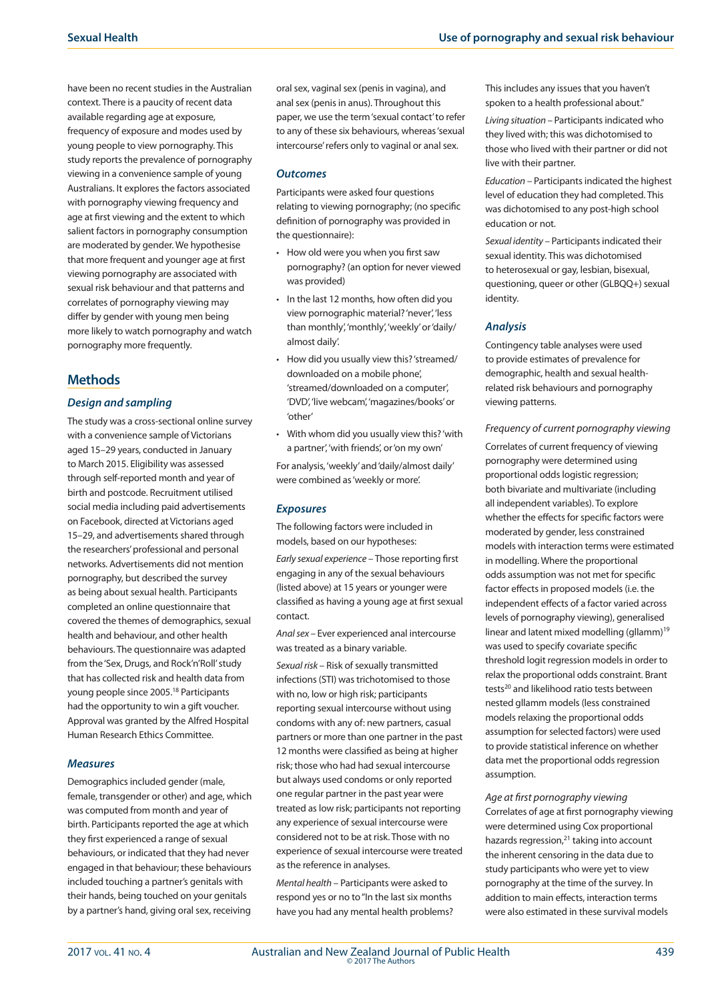have been no recent studies in the Australian context. There is a paucity of recent data available regarding age at exposure, frequency of exposure and modes used by young people to view pornography. This study reports the prevalence of pornography viewing in a convenience sample of young Australians. It explores the factors associated with pornography viewing frequency and age at first viewing and the extent to which salient factors in pornography consumption are moderated by gender. We hypothesise that more frequent and younger age at first viewing pornography are associated with sexual risk behaviour and that patterns and correlates of pornography viewing may differ by gender with young men being more likely to watch pornography and watch pornography more frequently.

# **Methods**

## *Design and sampling*

The study was a cross-sectional online survey with a convenience sample of Victorians aged 15–29 years, conducted in January to March 2015. Eligibility was assessed through self-reported month and year of birth and postcode. Recruitment utilised social media including paid advertisements on Facebook, directed at Victorians aged 15–29, and advertisements shared through the researchers' professional and personal networks. Advertisements did not mention pornography, but described the survey as being about sexual health. Participants completed an online questionnaire that covered the themes of demographics, sexual health and behaviour, and other health behaviours. The questionnaire was adapted from the 'Sex, Drugs, and Rock'n'Roll' study that has collected risk and health data from young people since 2005.18 Participants had the opportunity to win a gift voucher. Approval was granted by the Alfred Hospital Human Research Ethics Committee.

## *Measures*

Demographics included gender (male, female, transgender or other) and age, which was computed from month and year of birth. Participants reported the age at which they first experienced a range of sexual behaviours, or indicated that they had never engaged in that behaviour; these behaviours included touching a partner's genitals with their hands, being touched on your genitals by a partner's hand, giving oral sex, receiving

oral sex, vaginal sex (penis in vagina), and anal sex (penis in anus). Throughout this paper, we use the term 'sexual contact' to refer to any of these six behaviours, whereas 'sexual intercourse' refers only to vaginal or anal sex.

## *Outcomes*

Participants were asked four questions relating to viewing pornography; (no specific definition of pornography was provided in the questionnaire):

- • How old were you when you first saw pornography? (an option for never viewed was provided)
- In the last 12 months, how often did you view pornographic material? 'never', 'less than monthly', 'monthly', 'weekly' or 'daily/ almost daily'.
- • How did you usually view this? 'streamed/ downloaded on a mobile phone', 'streamed/downloaded on a computer', 'DVD', 'live webcam', 'magazines/books' or 'other'
- • With whom did you usually view this? 'with a partner', 'with friends', or 'on my own'

For analysis, 'weekly' and 'daily/almost daily' were combined as 'weekly or more'.

#### *Exposures*

The following factors were included in models, based on our hypotheses:

*Early sexual experience –* Those reporting first engaging in any of the sexual behaviours (listed above) at 15 years or younger were classified as having a young age at first sexual contact.

*Anal sex –* Ever experienced anal intercourse was treated as a binary variable.

*Sexual risk –* Risk of sexually transmitted infections (STI) was trichotomised to those with no, low or high risk; participants reporting sexual intercourse without using condoms with any of: new partners, casual partners or more than one partner in the past 12 months were classified as being at higher risk; those who had had sexual intercourse but always used condoms or only reported one regular partner in the past year were treated as low risk; participants not reporting any experience of sexual intercourse were considered not to be at risk. Those with no experience of sexual intercourse were treated as the reference in analyses.

*Mental health –* Participants were asked to respond yes or no to "In the last six months have you had any mental health problems? This includes any issues that you haven't spoken to a health professional about."

*Living situation –* Participants indicated who they lived with; this was dichotomised to those who lived with their partner or did not live with their partner.

*Education –* Participants indicated the highest level of education they had completed. This was dichotomised to any post-high school education or not.

*Sexual identity –* Participants indicated their sexual identity. This was dichotomised to heterosexual or gay, lesbian, bisexual, questioning, queer or other (GLBQQ+) sexual identity.

#### *Analysis*

Contingency table analyses were used to provide estimates of prevalence for demographic, health and sexual healthrelated risk behaviours and pornography viewing patterns.

#### *Frequency of current pornography viewing*

Correlates of current frequency of viewing pornography were determined using proportional odds logistic regression; both bivariate and multivariate (including all independent variables). To explore whether the effects for specific factors were moderated by gender, less constrained models with interaction terms were estimated in modelling. Where the proportional odds assumption was not met for specific factor effects in proposed models (i.e. the independent effects of a factor varied across levels of pornography viewing), generalised linear and latent mixed modelling (gllamm)<sup>19</sup> was used to specify covariate specific threshold logit regression models in order to relax the proportional odds constraint. Brant tests<sup>20</sup> and likelihood ratio tests between nested gllamm models (less constrained models relaxing the proportional odds assumption for selected factors) were used to provide statistical inference on whether data met the proportional odds regression assumption.

*Age at first pornography viewing* Correlates of age at first pornography viewing were determined using Cox proportional hazards regression, $21$  taking into account the inherent censoring in the data due to study participants who were yet to view pornography at the time of the survey. In addition to main effects, interaction terms were also estimated in these survival models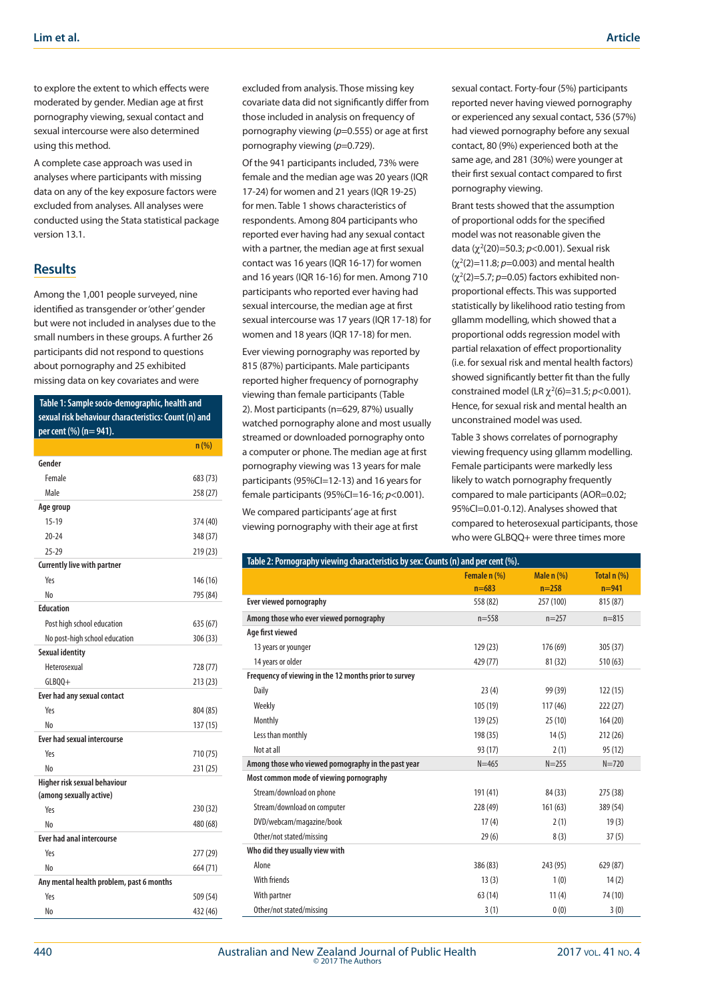to explore the extent to which effects were moderated by gender. Median age at first pornography viewing, sexual contact and sexual intercourse were also determined using this method.

A complete case approach was used in analyses where participants with missing data on any of the key exposure factors were excluded from analyses. All analyses were conducted using the Stata statistical package version 13.1.

# **Results**

Among the 1,001 people surveyed, nine identified as transgender or 'other' gender but were not included in analyses due to the small numbers in these groups. A further 26 participants did not respond to questions about pornography and 25 exhibited missing data on key covariates and were

 **Table 1: Sample socio-demographic, health and sexual risk behaviour characteristics: Count (n) and per cent (%) (n= 941).**

|                                          | n(%)     |
|------------------------------------------|----------|
| Gender                                   |          |
| Female                                   | 683 (73) |
| Male                                     | 258 (27) |
| Age group                                |          |
| $15 - 19$                                | 374 (40) |
| $20 - 24$                                | 348 (37) |
| $25 - 29$                                | 219 (23) |
| <b>Currently live with partner</b>       |          |
| Yρς                                      | 146 (16) |
| No                                       | 795 (84) |
| <b>Education</b>                         |          |
| Post high school education               | 635 (67) |
| No post-high school education            | 306 (33) |
| <b>Sexual identity</b>                   |          |
| Heterosexual                             | 728 (77) |
| $GLBQQ+$                                 | 213 (23) |
| Ever had any sexual contact              |          |
| Yes                                      | 804 (85) |
| Nη                                       | 137 (15) |
| <b>Ever had sexual intercourse</b>       |          |
| Yρς                                      | 710 (75) |
| No                                       | 231 (25) |
| Higher risk sexual behaviour             |          |
| (among sexually active)                  |          |
| Yes                                      | 230 (32) |
| No                                       | 480 (68) |
| <b>Ever had anal intercourse</b>         |          |
| Yes                                      | 277 (29) |
| No                                       | 664 (71) |
| Any mental health problem, past 6 months |          |
| Yes                                      | 509 (54) |
| No                                       | 432 (46) |

excluded from analysis. Those missing key covariate data did not significantly differ from those included in analysis on frequency of pornography viewing (*p*=0.555) or age at first pornography viewing (p=0.729).

Of the 941 participants included, 73% were female and the median age was 20 years (IQR 17-24) for women and 21 years (IQR 19-25) for men. Table 1 shows characteristics of respondents. Among 804 participants who reported ever having had any sexual contact with a partner, the median age at first sexual contact was 16 years (IQR 16-17) for women and 16 years (IQR 16-16) for men. Among 710 participants who reported ever having had sexual intercourse, the median age at first sexual intercourse was 17 years (IQR 17-18) for women and 18 years (IQR 17-18) for men.

Ever viewing pornography was reported by 815 (87%) participants. Male participants reported higher frequency of pornography viewing than female participants (Table 2). Most participants (n=629, 87%) usually watched pornography alone and most usually streamed or downloaded pornography onto a computer or phone. The median age at first pornography viewing was 13 years for male participants (95%CI=12-13) and 16 years for female participants (95%CI=16-16; *p*<0.001).

We compared participants' age at first viewing pornography with their age at first sexual contact. Forty-four (5%) participants reported never having viewed pornography or experienced any sexual contact, 536 (57%) had viewed pornography before any sexual contact, 80 (9%) experienced both at the same age, and 281 (30%) were younger at their first sexual contact compared to first pornography viewing.

Brant tests showed that the assumption of proportional odds for the specified model was not reasonable given the data (χ<sup>2</sup>(20)=50.3; *p*<0.001). Sexual risk  $(χ<sup>2</sup>(2)=11.8; p=0.003)$  and mental health (χ<sup>2</sup> (2)=5.7; *p*=0.05) factors exhibited nonproportional effects. This was supported statistically by likelihood ratio testing from gllamm modelling, which showed that a proportional odds regression model with partial relaxation of effect proportionality (i.e. for sexual risk and mental health factors) showed significantly better fit than the fully constrained model (LR  $\chi^2(6)$ =31.5; *p*<0.001). Hence, for sexual risk and mental health an unconstrained model was used.

Table 3 shows correlates of pornography viewing frequency using gllamm modelling. Female participants were markedly less likely to watch pornography frequently compared to male participants (AOR=0.02; 95%CI=0.01-0.12). Analyses showed that compared to heterosexual participants, those who were GLBQQ+ were three times more

| Table 2: Pornography viewing characteristics by sex: Counts (n) and per cent (%). | Female n (%) | Male n (%) | Total $n$ (%) |
|-----------------------------------------------------------------------------------|--------------|------------|---------------|
|                                                                                   | $n = 683$    | $n = 258$  | $n = 941$     |
| Ever viewed pornography                                                           | 558 (82)     | 257 (100)  | 815 (87)      |
| Among those who ever viewed pornography                                           | $n = 558$    | $n=257$    | $n = 815$     |
| Age first viewed                                                                  |              |            |               |
| 13 years or younger                                                               | 129(23)      | 176 (69)   | 305(37)       |
| 14 years or older                                                                 | 429 (77)     | 81(32)     | 510(63)       |
| Frequency of viewing in the 12 months prior to survey                             |              |            |               |
| Daily                                                                             | 23(4)        | 99 (39)    | 122(15)       |
| Weekly                                                                            | 105 (19)     | 117(46)    | 222(27)       |
| Monthly                                                                           | 139(25)      | 25(10)     | 164(20)       |
| Less than monthly                                                                 | 198 (35)     | 14(5)      | 212(26)       |
| Not at all                                                                        | 93 (17)      | 2(1)       | 95(12)        |
| Among those who viewed pornography in the past year                               | $N = 465$    | $N = 255$  | $N = 720$     |
| Most common mode of viewing pornography                                           |              |            |               |
| Stream/download on phone                                                          | 191(41)      | 84 (33)    | 275 (38)      |
| Stream/download on computer                                                       | 228 (49)     | 161(63)    | 389 (54)      |
| DVD/webcam/magazine/book                                                          | 17(4)        | 2(1)       | 19(3)         |
| Other/not stated/missing                                                          | 29(6)        | 8(3)       | 37(5)         |
| Who did they usually view with                                                    |              |            |               |
| Alone                                                                             | 386 (83)     | 243 (95)   | 629 (87)      |
| <b>With friends</b>                                                               | 13(3)        | 1(0)       | 14(2)         |
| With partner                                                                      | 63(14)       | 11(4)      | 74 (10)       |
| Other/not stated/missing                                                          | 3(1)         | 0(0)       | 3(0)          |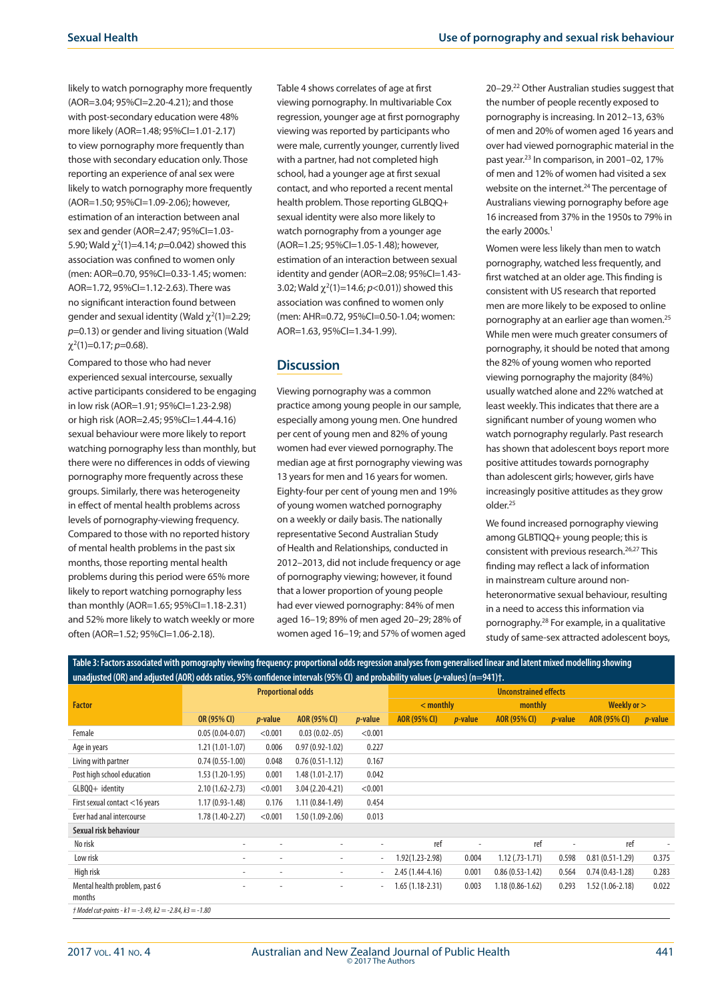likely to watch pornography more frequently (AOR=3.04; 95%CI=2.20-4.21); and those with post-secondary education were 48% more likely (AOR=1.48; 95%Cl=1.01-2.17) to view pornography more frequently than those with secondary education only. Those reporting an experience of anal sex were likely to watch pornography more frequently (AOR=1.50; 95%CI=1.09-2.06); however, estimation of an interaction between anal sex and gender (AOR=2.47; 95%CI=1.03- 5.90; Wald  $\chi^2(1)$ =4.14; *p*=0.042) showed this association was confined to women only (men: AOR=0.70, 95%CI=0.33-1.45; women: AOR=1.72, 95%CI=1.12-2.63). There was no significant interaction found between gender and sexual identity (Wald  $\chi^2(1)=2.29$ ; *p*=0.13) or gender and living situation (Wald χ2 (1)=0.17; *p*=0.68).

Compared to those who had never experienced sexual intercourse, sexually active participants considered to be engaging in low risk (AOR=1.91; 95%CI=1.23-2.98) or high risk (AOR=2.45; 95%CI=1.44-4.16) sexual behaviour were more likely to report watching pornography less than monthly, but there were no differences in odds of viewing pornography more frequently across these groups. Similarly, there was heterogeneity in effect of mental health problems across levels of pornography-viewing frequency. Compared to those with no reported history of mental health problems in the past six months, those reporting mental health problems during this period were 65% more likely to report watching pornography less than monthly (AOR=1.65; 95%CI=1.18-2.31) and 52% more likely to watch weekly or more often (AOR=1.52; 95%CI=1.06-2.18).

Table 4 shows correlates of age at first viewing pornography. In multivariable Cox regression, younger age at first pornography viewing was reported by participants who were male, currently younger, currently lived with a partner, had not completed high school, had a younger age at first sexual contact, and who reported a recent mental health problem. Those reporting GLBQQ+ sexual identity were also more likely to watch pornography from a younger age (AOR=1.25; 95%CI=1.05-1.48); however, estimation of an interaction between sexual identity and gender (AOR=2.08; 95%CI=1.43- 3.02; Wald  $\chi^2(1)$ =14.6;  $p$ <0.01)) showed this association was confined to women only (men: AHR=0.72, 95%CI=0.50-1.04; women: AOR=1.63, 95%Cl=1.34-1.99).

# **Discussion**

Viewing pornography was a common practice among young people in our sample, especially among young men. One hundred per cent of young men and 82% of young women had ever viewed pornography. The median age at first pornography viewing was 13 years for men and 16 years for women. Eighty-four per cent of young men and 19% of young women watched pornography on a weekly or daily basis. The nationally representative Second Australian Study of Health and Relationships, conducted in 2012–2013, did not include frequency or age of pornography viewing; however, it found that a lower proportion of young people had ever viewed pornography: 84% of men aged 16–19; 89% of men aged 20–29; 28% of women aged 16–19; and 57% of women aged

20–29.22 Other Australian studies suggest that the number of people recently exposed to pornography is increasing. In 2012–13, 63% of men and 20% of women aged 16 years and over had viewed pornographic material in the past year.23 In comparison, in 2001–02, 17% of men and 12% of women had visited a sex website on the internet.<sup>24</sup> The percentage of Australians viewing pornography before age 16 increased from 37% in the 1950s to 79% in the early 2000s.<sup>1</sup>

Women were less likely than men to watch pornography, watched less frequently, and first watched at an older age. This finding is consistent with US research that reported men are more likely to be exposed to online pornography at an earlier age than women.<sup>25</sup> While men were much greater consumers of pornography, it should be noted that among the 82% of young women who reported viewing pornography the majority (84%) usually watched alone and 22% watched at least weekly. This indicates that there are a significant number of young women who watch pornography regularly. Past research has shown that adolescent boys report more positive attitudes towards pornography than adolescent girls; however, girls have increasingly positive attitudes as they grow older.25

We found increased pornography viewing among GLBTIQQ+ young people; this is consistent with previous research.<sup>26,27</sup> This finding may reflect a lack of information in mainstream culture around nonheteronormative sexual behaviour, resulting in a need to access this information via pornography.28 For example, in a qualitative study of same-sex attracted adolescent boys,

**Table 3: Factors associated with pornography viewing frequency: proportional odds regression analyses from generalised linear and latent mixed modelling showing unadjusted (OR) and adjusted (AOR) odds ratios, 95% confidence intervals (95% CI) and probability values (***p***-values) (n=941)†.**

|                                                           | <b>Proportional odds</b> |                 |                          | <b>Unconstrained effects</b> |                   |                 |                     |                 |                     |                 |
|-----------------------------------------------------------|--------------------------|-----------------|--------------------------|------------------------------|-------------------|-----------------|---------------------|-----------------|---------------------|-----------------|
| <b>Factor</b>                                             |                          |                 | $<$ monthly              |                              | monthly           |                 | Weekly or $>$       |                 |                     |                 |
|                                                           | OR (95% CI)              | <i>p</i> -value | AOR (95% CI)             | <i>p</i> -value              | AOR (95% CI)      | <i>p</i> -value | <b>AOR (95% CI)</b> | <i>p</i> -value | AOR (95% CI)        | <i>p</i> -value |
| Female                                                    | $0.05(0.04-0.07)$        | < 0.001         | $0.03(0.02-0.05)$        | < 0.001                      |                   |                 |                     |                 |                     |                 |
| Age in years                                              | 1.21 (1.01-1.07)         | 0.006           | $0.97(0.92 - 1.02)$      | 0.227                        |                   |                 |                     |                 |                     |                 |
| Living with partner                                       | $0.74(0.55-1.00)$        | 0.048           | $0.76(0.51-1.12)$        | 0.167                        |                   |                 |                     |                 |                     |                 |
| Post high school education                                | $1.53(1.20-1.95)$        | 0.001           | $1.48(1.01 - 2.17)$      | 0.042                        |                   |                 |                     |                 |                     |                 |
| GLBQQ+ identity                                           | $2.10(1.62 - 2.73)$      | < 0.001         | $3.04(2.20-4.21)$        | < 0.001                      |                   |                 |                     |                 |                     |                 |
| First sexual contact <16 years                            | $1.17(0.93 - 1.48)$      | 0.176           | $1.11(0.84-1.49)$        | 0.454                        |                   |                 |                     |                 |                     |                 |
| Ever had anal intercourse                                 | 1.78 (1.40-2.27)         | < 0.001         | $1.50(1.09-2.06)$        | 0.013                        |                   |                 |                     |                 |                     |                 |
| Sexual risk behaviour                                     |                          |                 |                          |                              |                   |                 |                     |                 |                     |                 |
| No risk                                                   | $\overline{\phantom{a}}$ | ۰               | $\overline{\phantom{a}}$ | ۰                            | ref               |                 | ref                 | ٠               | ref                 | $\sim$          |
| Low risk                                                  | $\overline{\phantom{a}}$ | ۰               |                          | ۰                            | 1.92(1.23-2.98)   | 0.004           | $1.12$ (.73-1.71)   | 0.598           | $0.81(0.51-1.29)$   | 0.375           |
| High risk                                                 |                          |                 |                          | ٠                            | $2.45(1.44-4.16)$ | 0.001           | $0.86(0.53 - 1.42)$ | 0.564           | $0.74(0.43-1.28)$   | 0.283           |
| Mental health problem, past 6<br>months                   |                          | ۰               | ٠                        | $\overline{\phantom{0}}$     | 1.65 (1.18-2.31)  | 0.003           | $1.18(0.86 - 1.62)$ | 0.293           | $1.52(1.06 - 2.18)$ | 0.022           |
| $†$ Model cut-points - k1 = -3.49, k2 = -2.84, k3 = -1.80 |                          |                 |                          |                              |                   |                 |                     |                 |                     |                 |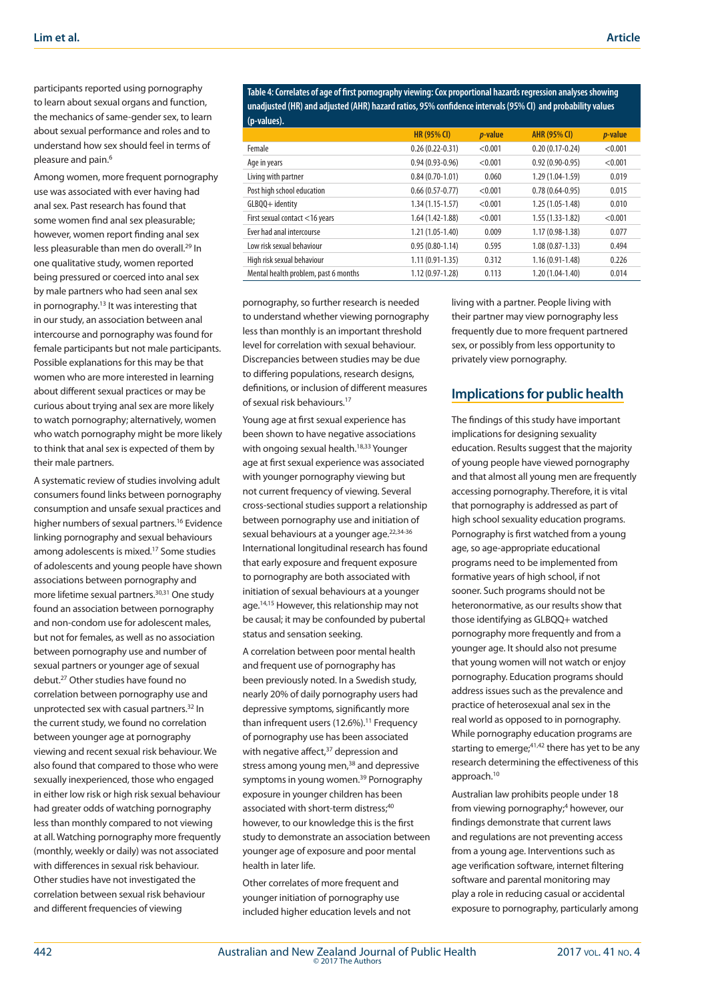participants reported using pornography to learn about sexual organs and function, the mechanics of same-gender sex, to learn about sexual performance and roles and to understand how sex should feel in terms of pleasure and pain.<sup>6</sup>

Among women, more frequent pornography use was associated with ever having had anal sex. Past research has found that some women find anal sex pleasurable; however, women report finding anal sex less pleasurable than men do overall.<sup>29</sup> In one qualitative study, women reported being pressured or coerced into anal sex by male partners who had seen anal sex in pornography.<sup>13</sup> It was interesting that in our study, an association between anal intercourse and pornography was found for female participants but not male participants. Possible explanations for this may be that women who are more interested in learning about different sexual practices or may be curious about trying anal sex are more likely to watch pornography; alternatively, women who watch pornography might be more likely to think that anal sex is expected of them by their male partners.

A systematic review of studies involving adult consumers found links between pornography consumption and unsafe sexual practices and higher numbers of sexual partners.<sup>16</sup> Evidence linking pornography and sexual behaviours among adolescents is mixed.17 Some studies of adolescents and young people have shown associations between pornography and more lifetime sexual partners.30,31 One study found an association between pornography and non-condom use for adolescent males, but not for females, as well as no association between pornography use and number of sexual partners or younger age of sexual debut.27 Other studies have found no correlation between pornography use and unprotected sex with casual partners.32 In the current study, we found no correlation between younger age at pornography viewing and recent sexual risk behaviour. We also found that compared to those who were sexually inexperienced, those who engaged in either low risk or high risk sexual behaviour had greater odds of watching pornography less than monthly compared to not viewing at all. Watching pornography more frequently (monthly, weekly or daily) was not associated with differences in sexual risk behaviour. Other studies have not investigated the correlation between sexual risk behaviour and different frequencies of viewing

**Table 4: Correlates of age of first pornography viewing: Cox proportional hazards regression analyses showing unadjusted (HR) and adjusted (AHR) hazard ratios, 95% confidence intervals (95% CI) and probability values** 

| (p-values).                          |                     |                 |                     |                 |
|--------------------------------------|---------------------|-----------------|---------------------|-----------------|
|                                      | <b>HR (95% CI)</b>  | <i>p</i> -value | <b>AHR (95% CI)</b> | <i>p</i> -value |
| Female                               | $0.26(0.22 - 0.31)$ | < 0.001         | $0.20(0.17-0.24)$   | < 0.001         |
| Age in years                         | $0.94(0.93-0.96)$   | < 0.001         | $0.92(0.90-0.95)$   | < 0.001         |
| Living with partner                  | $0.84(0.70-1.01)$   | 0.060           | $1.29(1.04-1.59)$   | 0.019           |
| Post high school education           | $0.66(0.57-0.77)$   | < 0.001         | $0.78(0.64-0.95)$   | 0.015           |
| GLBQQ+ identity                      | $1.34(1.15-1.57)$   | < 0.001         | $1.25(1.05-1.48)$   | 0.010           |
| First sexual contact <16 years       | $1.64(1.42 - 1.88)$ | < 0.001         | $1.55(1.33-1.82)$   | < 0.001         |
| Ever had anal intercourse            | $1.21(1.05-1.40)$   | 0.009           | $1.17(0.98-1.38)$   | 0.077           |
| Low risk sexual behaviour            | $0.95(0.80-1.14)$   | 0.595           | $1.08(0.87-1.33)$   | 0.494           |
| High risk sexual behaviour           | $1.11(0.91-1.35)$   | 0.312           | $1.16(0.91 - 1.48)$ | 0.226           |
| Mental health problem, past 6 months | 1.12 (0.97-1.28)    | 0.113           | $1.20(1.04-1.40)$   | 0.014           |

pornography, so further research is needed to understand whether viewing pornography less than monthly is an important threshold level for correlation with sexual behaviour. Discrepancies between studies may be due to differing populations, research designs, definitions, or inclusion of different measures of sexual risk behaviours.17

Young age at first sexual experience has been shown to have negative associations with ongoing sexual health.<sup>18,33</sup> Younger age at first sexual experience was associated with younger pornography viewing but not current frequency of viewing. Several cross-sectional studies support a relationship between pornography use and initiation of sexual behaviours at a younger age.<sup>22,34-36</sup> International longitudinal research has found that early exposure and frequent exposure to pornography are both associated with initiation of sexual behaviours at a younger age.14,15 However, this relationship may not be causal; it may be confounded by pubertal status and sensation seeking.

A correlation between poor mental health and frequent use of pornography has been previously noted. In a Swedish study, nearly 20% of daily pornography users had depressive symptoms, significantly more than infrequent users  $(12.6\%)$ .<sup>11</sup> Frequency of pornography use has been associated with negative affect. $37$  depression and stress among young men,<sup>38</sup> and depressive symptoms in young women.<sup>39</sup> Pornography exposure in younger children has been associated with short-term distress;<sup>40</sup> however, to our knowledge this is the first study to demonstrate an association between younger age of exposure and poor mental health in later life.

Other correlates of more frequent and younger initiation of pornography use included higher education levels and not living with a partner. People living with their partner may view pornography less frequently due to more frequent partnered sex, or possibly from less opportunity to privately view pornography.

# **Implications for public health**

The findings of this study have important implications for designing sexuality education. Results suggest that the majority of young people have viewed pornography and that almost all young men are frequently accessing pornography. Therefore, it is vital that pornography is addressed as part of high school sexuality education programs. Pornography is first watched from a young age, so age-appropriate educational programs need to be implemented from formative years of high school, if not sooner. Such programs should not be heteronormative, as our results show that those identifying as GLBQQ+ watched pornography more frequently and from a younger age. It should also not presume that young women will not watch or enjoy pornography. Education programs should address issues such as the prevalence and practice of heterosexual anal sex in the real world as opposed to in pornography. While pornography education programs are starting to emerge;  $41,42$  there has yet to be any research determining the effectiveness of this approach.10

Australian law prohibits people under 18 from viewing pornography;<sup>4</sup> however, our findings demonstrate that current laws and regulations are not preventing access from a young age. Interventions such as age verification software, internet filtering software and parental monitoring may play a role in reducing casual or accidental exposure to pornography, particularly among